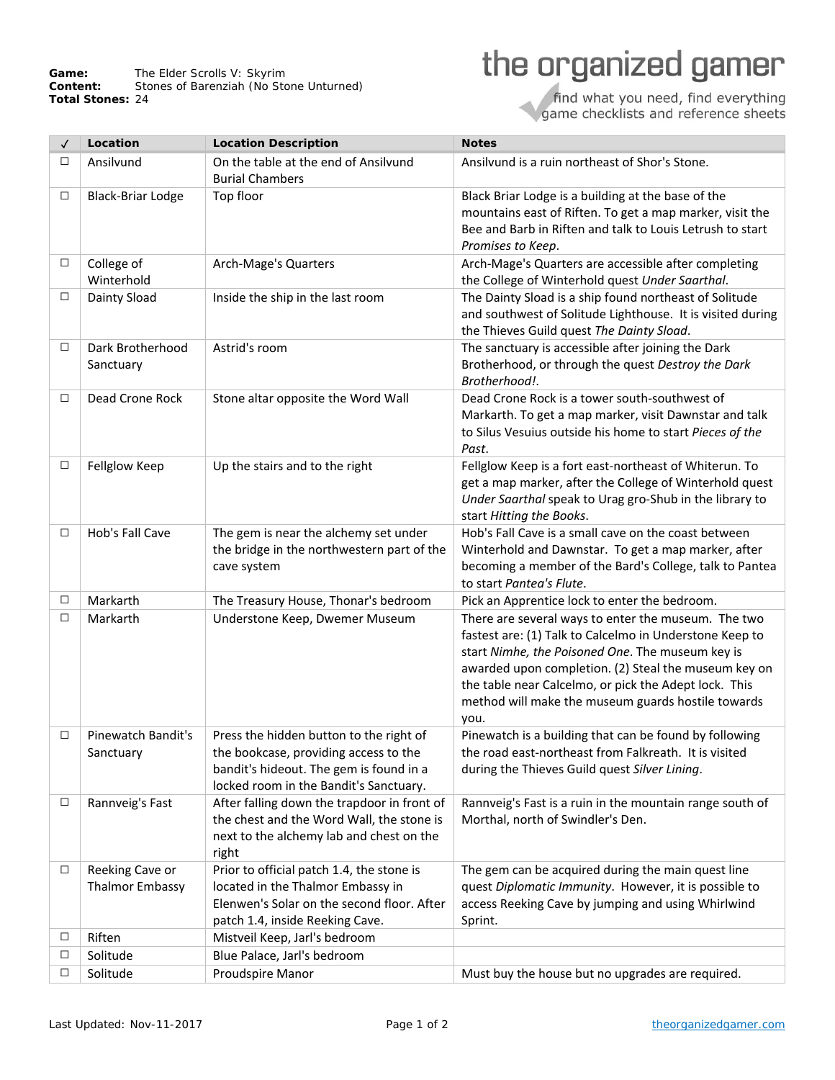Game: The Elder Scrolls V: Skyrim **Content:** Stones of Barenziah (*No Stone Unturned*) **Total Stones:** 24

## the organized gamer

find what you need, find everything<br>game checklists and reference sheets

| $\checkmark$ | Location                                  | <b>Location Description</b>                                                                                                                                           | <b>Notes</b>                                                                                                                                                                                                                                                                                                                                      |
|--------------|-------------------------------------------|-----------------------------------------------------------------------------------------------------------------------------------------------------------------------|---------------------------------------------------------------------------------------------------------------------------------------------------------------------------------------------------------------------------------------------------------------------------------------------------------------------------------------------------|
| □            | Ansilvund                                 | On the table at the end of Ansilvund<br><b>Burial Chambers</b>                                                                                                        | Ansilvund is a ruin northeast of Shor's Stone.                                                                                                                                                                                                                                                                                                    |
| $\Box$       | <b>Black-Briar Lodge</b>                  | Top floor                                                                                                                                                             | Black Briar Lodge is a building at the base of the<br>mountains east of Riften. To get a map marker, visit the<br>Bee and Barb in Riften and talk to Louis Letrush to start<br>Promises to Keep.                                                                                                                                                  |
| $\Box$       | College of<br>Winterhold                  | Arch-Mage's Quarters                                                                                                                                                  | Arch-Mage's Quarters are accessible after completing<br>the College of Winterhold quest Under Saarthal.                                                                                                                                                                                                                                           |
| $\Box$       | Dainty Sload                              | Inside the ship in the last room                                                                                                                                      | The Dainty Sload is a ship found northeast of Solitude<br>and southwest of Solitude Lighthouse. It is visited during<br>the Thieves Guild quest The Dainty Sload.                                                                                                                                                                                 |
| $\Box$       | Dark Brotherhood<br>Sanctuary             | Astrid's room                                                                                                                                                         | The sanctuary is accessible after joining the Dark<br>Brotherhood, or through the quest Destroy the Dark<br>Brotherhood!.                                                                                                                                                                                                                         |
| □            | Dead Crone Rock                           | Stone altar opposite the Word Wall                                                                                                                                    | Dead Crone Rock is a tower south-southwest of<br>Markarth. To get a map marker, visit Dawnstar and talk<br>to Silus Vesuius outside his home to start Pieces of the<br>Past.                                                                                                                                                                      |
| □            | Fellglow Keep                             | Up the stairs and to the right                                                                                                                                        | Fellglow Keep is a fort east-northeast of Whiterun. To<br>get a map marker, after the College of Winterhold quest<br>Under Saarthal speak to Urag gro-Shub in the library to<br>start Hitting the Books.                                                                                                                                          |
| $\Box$       | Hob's Fall Cave                           | The gem is near the alchemy set under<br>the bridge in the northwestern part of the<br>cave system                                                                    | Hob's Fall Cave is a small cave on the coast between<br>Winterhold and Dawnstar. To get a map marker, after<br>becoming a member of the Bard's College, talk to Pantea<br>to start Pantea's Flute.                                                                                                                                                |
| $\Box$       | Markarth                                  | The Treasury House, Thonar's bedroom                                                                                                                                  | Pick an Apprentice lock to enter the bedroom.                                                                                                                                                                                                                                                                                                     |
| $\Box$       | Markarth                                  | Understone Keep, Dwemer Museum                                                                                                                                        | There are several ways to enter the museum. The two<br>fastest are: (1) Talk to Calcelmo in Understone Keep to<br>start Nimhe, the Poisoned One. The museum key is<br>awarded upon completion. (2) Steal the museum key on<br>the table near Calcelmo, or pick the Adept lock. This<br>method will make the museum guards hostile towards<br>you. |
| $\Box$       | Pinewatch Bandit's<br>Sanctuary           | Press the hidden button to the right of<br>the bookcase, providing access to the<br>bandit's hideout. The gem is found in a<br>locked room in the Bandit's Sanctuary. | Pinewatch is a building that can be found by following<br>the road east-northeast from Falkreath. It is visited<br>during the Thieves Guild quest Silver Lining.                                                                                                                                                                                  |
| $\Box$       | Rannveig's Fast                           | After falling down the trapdoor in front of<br>the chest and the Word Wall, the stone is<br>next to the alchemy lab and chest on the<br>right                         | Rannveig's Fast is a ruin in the mountain range south of<br>Morthal, north of Swindler's Den.                                                                                                                                                                                                                                                     |
| $\Box$       | Reeking Cave or<br><b>Thalmor Embassy</b> | Prior to official patch 1.4, the stone is<br>located in the Thalmor Embassy in<br>Elenwen's Solar on the second floor. After<br>patch 1.4, inside Reeking Cave.       | The gem can be acquired during the main quest line<br>quest Diplomatic Immunity. However, it is possible to<br>access Reeking Cave by jumping and using Whirlwind<br>Sprint.                                                                                                                                                                      |
| □            | Riften                                    | Mistveil Keep, Jarl's bedroom                                                                                                                                         |                                                                                                                                                                                                                                                                                                                                                   |
| $\Box$       | Solitude                                  | Blue Palace, Jarl's bedroom                                                                                                                                           |                                                                                                                                                                                                                                                                                                                                                   |
| □            | Solitude                                  | Proudspire Manor                                                                                                                                                      | Must buy the house but no upgrades are required.                                                                                                                                                                                                                                                                                                  |